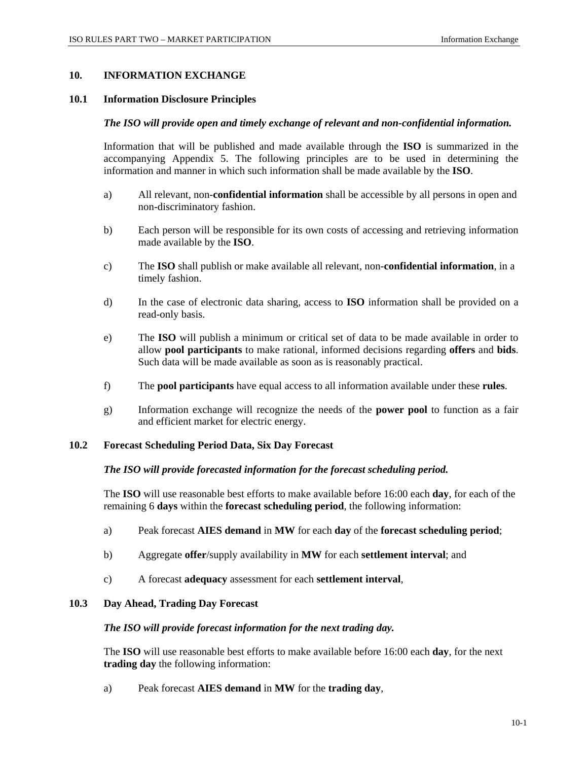## **10. INFORMATION EXCHANGE**

#### **10.1 Information Disclosure Principles**

### *The ISO will provide open and timely exchange of relevant and non-confidential information.*

Information that will be published and made available through the **ISO** is summarized in the accompanying Appendix 5. The following principles are to be used in determining the information and manner in which such information shall be made available by the **ISO**.

- a) All relevant, non-**confidential information** shall be accessible by all persons in open and non-discriminatory fashion.
- b) Each person will be responsible for its own costs of accessing and retrieving information made available by the **ISO**.
- c) The **ISO** shall publish or make available all relevant, non-**confidential information**, in a timely fashion.
- d) In the case of electronic data sharing, access to **ISO** information shall be provided on a read-only basis.
- e) The **ISO** will publish a minimum or critical set of data to be made available in order to allow **pool participants** to make rational, informed decisions regarding **offers** and **bids**. Such data will be made available as soon as is reasonably practical.
- f) The **pool participants** have equal access to all information available under these **rules**.
- g) Information exchange will recognize the needs of the **power pool** to function as a fair and efficient market for electric energy.

## **10.2 Forecast Scheduling Period Data, Six Day Forecast**

## *The ISO will provide forecasted information for the forecast scheduling period.*

The **ISO** will use reasonable best efforts to make available before 16:00 each **day**, for each of the remaining 6 **days** within the **forecast scheduling period**, the following information:

- a) Peak forecast **AIES demand** in **MW** for each **day** of the **forecast scheduling period**;
- b) Aggregate **offer**/supply availability in **MW** for each **settlement interval**; and
- c) A forecast **adequacy** assessment for each **settlement interval**,

# **10.3 Day Ahead, Trading Day Forecast**

#### *The ISO will provide forecast information for the next trading day.*

The **ISO** will use reasonable best efforts to make available before 16:00 each **day**, for the next **trading day** the following information:

a) Peak forecast **AIES demand** in **MW** for the **trading day**,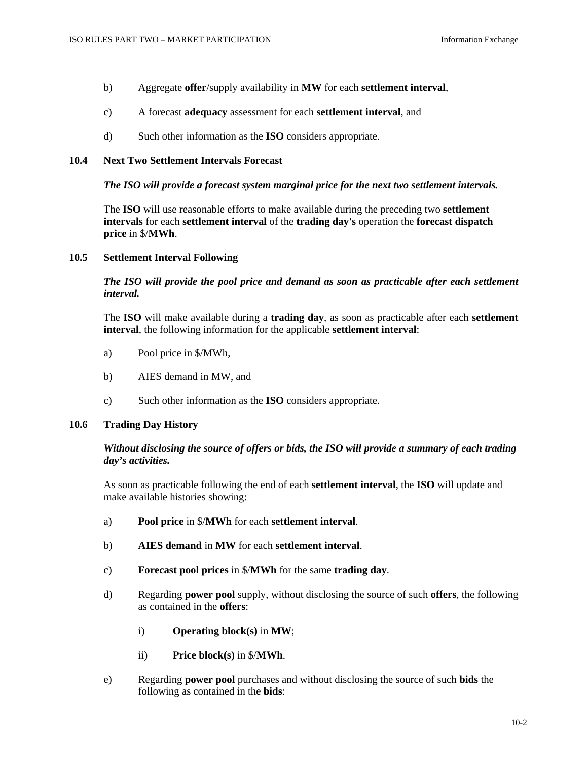- b) Aggregate **offer**/supply availability in **MW** for each **settlement interval**,
- c) A forecast **adequacy** assessment for each **settlement interval**, and
- d) Such other information as the **ISO** considers appropriate.

## **10.4 Next Two Settlement Intervals Forecast**

### *The ISO will provide a forecast system marginal price for the next two settlement intervals.*

The **ISO** will use reasonable efforts to make available during the preceding two **settlement intervals** for each **settlement interval** of the **trading day's** operation the **forecast dispatch price** in \$/**MWh**.

## **10.5 Settlement Interval Following**

*The ISO will provide the pool price and demand as soon as practicable after each settlement interval.* 

The **ISO** will make available during a **trading day**, as soon as practicable after each **settlement interval**, the following information for the applicable **settlement interval**:

- a) Pool price in \$/MWh,
- b) AIES demand in MW, and
- c) Such other information as the **ISO** considers appropriate.

### **10.6 Trading Day History**

# *Without disclosing the source of offers or bids, the ISO will provide a summary of each trading day's activities.*

As soon as practicable following the end of each **settlement interval**, the **ISO** will update and make available histories showing:

- a) **Pool price** in \$/**MWh** for each **settlement interval**.
- b) **AIES demand** in **MW** for each **settlement interval**.
- c) **Forecast pool prices** in \$/**MWh** for the same **trading day**.
- d) Regarding **power pool** supply, without disclosing the source of such **offers**, the following as contained in the **offers**:
	- i) **Operating block(s)** in **MW**;
	- ii) **Price block(s)** in \$/**MWh**.
- e) Regarding **power pool** purchases and without disclosing the source of such **bids** the following as contained in the **bids**: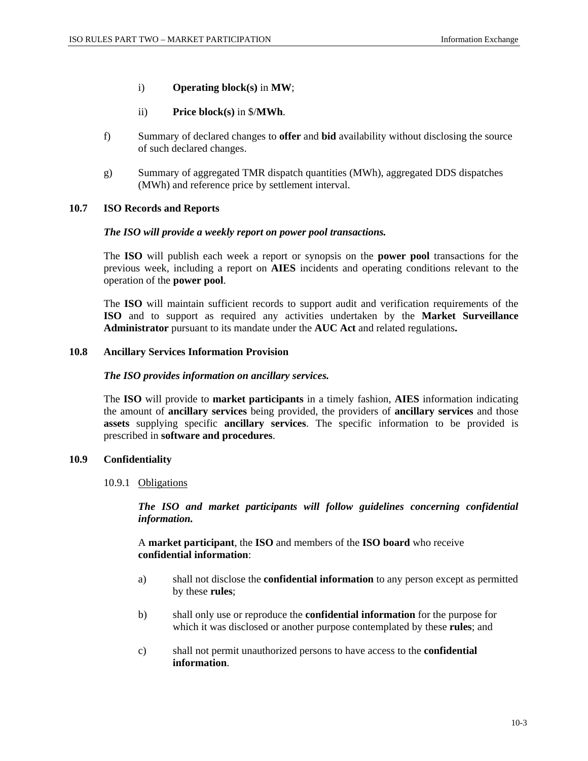- i) **Operating block(s)** in **MW**;
- ii) **Price block(s)** in \$/**MWh**.
- f) Summary of declared changes to **offer** and **bid** availability without disclosing the source of such declared changes.
- g) Summary of aggregated TMR dispatch quantities (MWh), aggregated DDS dispatches (MWh) and reference price by settlement interval.

## **10.7 ISO Records and Reports**

## *The ISO will provide a weekly report on power pool transactions.*

The **ISO** will publish each week a report or synopsis on the **power pool** transactions for the previous week, including a report on **AIES** incidents and operating conditions relevant to the operation of the **power pool**.

The **ISO** will maintain sufficient records to support audit and verification requirements of the **ISO** and to support as required any activities undertaken by the **Market Surveillance Administrator** pursuant to its mandate under the **AUC Act** and related regulations**.** 

## **10.8 Ancillary Services Information Provision**

### *The ISO provides information on ancillary services.*

The **ISO** will provide to **market participants** in a timely fashion, **AIES** information indicating the amount of **ancillary services** being provided, the providers of **ancillary services** and those **assets** supplying specific **ancillary services**. The specific information to be provided is prescribed in **software and procedures**.

# **10.9 Confidentiality**

10.9.1 Obligations

*The ISO and market participants will follow guidelines concerning confidential information.* 

A **market participant**, the **ISO** and members of the **ISO board** who receive **confidential information**:

- a) shall not disclose the **confidential information** to any person except as permitted by these **rules**;
- b) shall only use or reproduce the **confidential information** for the purpose for which it was disclosed or another purpose contemplated by these **rules**; and
- c) shall not permit unauthorized persons to have access to the **confidential information**.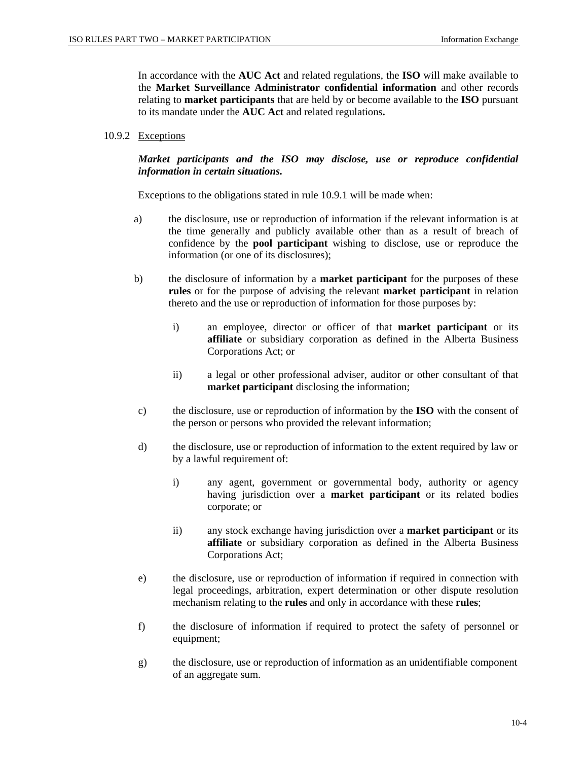In accordance with the **AUC Act** and related regulations, the **ISO** will make available to the **Market Surveillance Administrator confidential information** and other records relating to **market participants** that are held by or become available to the **ISO** pursuant to its mandate under the **AUC Act** and related regulations**.**

#### 10.9.2 Exceptions

# *Market participants and the ISO may disclose, use or reproduce confidential information in certain situations.*

Exceptions to the obligations stated in rule 10.9.1 will be made when:

- a) the disclosure, use or reproduction of information if the relevant information is at the time generally and publicly available other than as a result of breach of confidence by the **pool participant** wishing to disclose, use or reproduce the information (or one of its disclosures);
- b) the disclosure of information by a **market participant** for the purposes of these **rules** or for the purpose of advising the relevant **market participant** in relation thereto and the use or reproduction of information for those purposes by:
	- i) an employee, director or officer of that **market participant** or its **affiliate** or subsidiary corporation as defined in the Alberta Business Corporations Act; or
	- ii) a legal or other professional adviser, auditor or other consultant of that **market participant** disclosing the information;
- c) the disclosure, use or reproduction of information by the **ISO** with the consent of the person or persons who provided the relevant information;
- d) the disclosure, use or reproduction of information to the extent required by law or by a lawful requirement of:
	- i) any agent, government or governmental body, authority or agency having jurisdiction over a **market participant** or its related bodies corporate; or
	- ii) any stock exchange having jurisdiction over a **market participant** or its **affiliate** or subsidiary corporation as defined in the Alberta Business Corporations Act;
- e) the disclosure, use or reproduction of information if required in connection with legal proceedings, arbitration, expert determination or other dispute resolution mechanism relating to the **rules** and only in accordance with these **rules**;
- f) the disclosure of information if required to protect the safety of personnel or equipment;
- g) the disclosure, use or reproduction of information as an unidentifiable component of an aggregate sum.